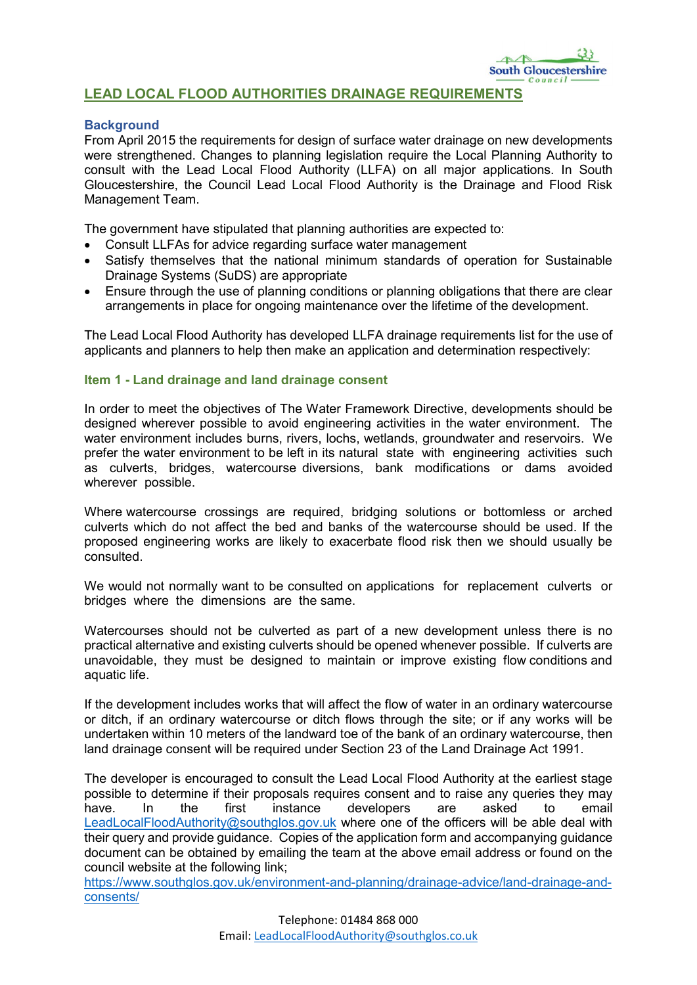# LEAD LOCAL FLOOD AUTHORITIES DRAINAGE REQUIREMENTS

# **Background**

From April 2015 the requirements for design of surface water drainage on new developments were strengthened. Changes to planning legislation require the Local Planning Authority to consult with the Lead Local Flood Authority (LLFA) on all major applications. In South Gloucestershire, the Council Lead Local Flood Authority is the Drainage and Flood Risk Management Team.

The government have stipulated that planning authorities are expected to:

- Consult LLFAs for advice regarding surface water management
- Satisfy themselves that the national minimum standards of operation for Sustainable Drainage Systems (SuDS) are appropriate
- Ensure through the use of planning conditions or planning obligations that there are clear arrangements in place for ongoing maintenance over the lifetime of the development.

The Lead Local Flood Authority has developed LLFA drainage requirements list for the use of applicants and planners to help then make an application and determination respectively:

### Item 1 - Land drainage and land drainage consent

In order to meet the objectives of The Water Framework Directive, developments should be designed wherever possible to avoid engineering activities in the water environment. The water environment includes burns, rivers, lochs, wetlands, groundwater and reservoirs. We prefer the water environment to be left in its natural state with engineering activities such as culverts, bridges, watercourse diversions, bank modifications or dams avoided wherever possible.

Where watercourse crossings are required, bridging solutions or bottomless or arched culverts which do not affect the bed and banks of the watercourse should be used. If the proposed engineering works are likely to exacerbate flood risk then we should usually be consulted.

We would not normally want to be consulted on applications for replacement culverts or bridges where the dimensions are the same.

Watercourses should not be culverted as part of a new development unless there is no practical alternative and existing culverts should be opened whenever possible. If culverts are unavoidable, they must be designed to maintain or improve existing flow conditions and aquatic life.

If the development includes works that will affect the flow of water in an ordinary watercourse or ditch, if an ordinary watercourse or ditch flows through the site; or if any works will be undertaken within 10 meters of the landward toe of the bank of an ordinary watercourse, then land drainage consent will be required under Section 23 of the Land Drainage Act 1991.

The developer is encouraged to consult the Lead Local Flood Authority at the earliest stage possible to determine if their proposals requires consent and to raise any queries they may have. In the first instance developers are asked to email [LeadLocalFloodAuthority@southglos.gov.uk](mailto:LeadLocalFloodAuthority@southglos.gov.uk) where one of the officers will be able deal with their query and provide guidance. Copies of the application form and accompanying guidance document can be obtained by emailing the team at the above email address or found on the council website at the following link;

[https://www.southglos.gov.uk/environment-and-planning/drainage-advice/land-drainage-and](https://www.southglos.gov.uk/environment-and-planning/drainage-advice/land-drainage-and-consents/)[consents/](https://www.southglos.gov.uk/environment-and-planning/drainage-advice/land-drainage-and-consents/)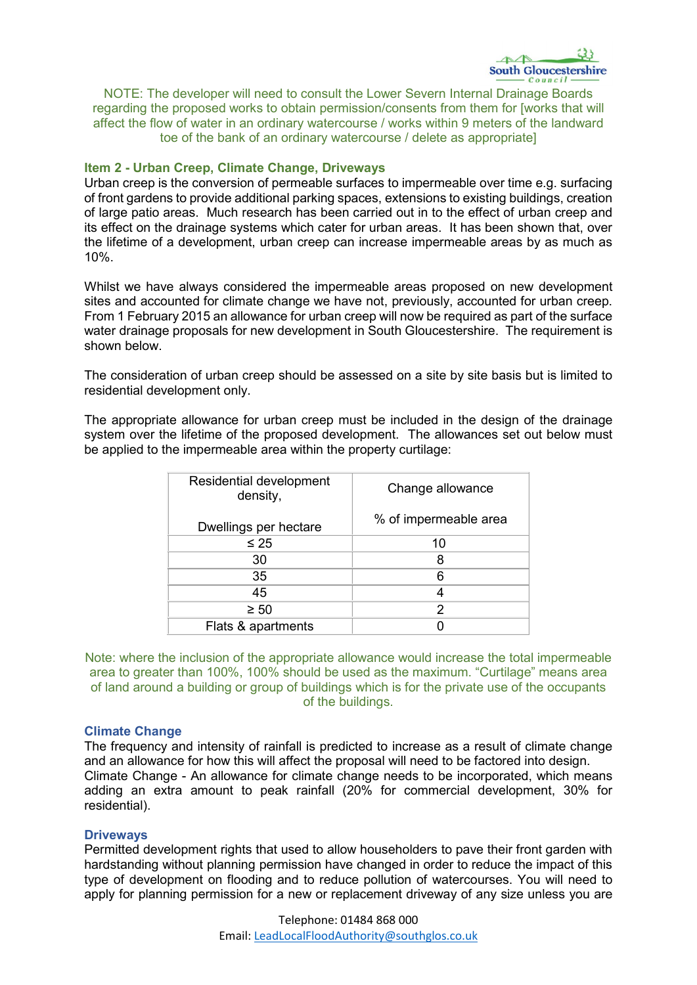

NOTE: The developer will need to consult the Lower Severn Internal Drainage Boards regarding the proposed works to obtain permission/consents from them for [works that will affect the flow of water in an ordinary watercourse / works within 9 meters of the landward toe of the bank of an ordinary watercourse / delete as appropriate]

## Item 2 - Urban Creep, Climate Change, Driveways

Urban creep is the conversion of permeable surfaces to impermeable over time e.g. surfacing of front gardens to provide additional parking spaces, extensions to existing buildings, creation of large patio areas. Much research has been carried out in to the effect of urban creep and its effect on the drainage systems which cater for urban areas. It has been shown that, over the lifetime of a development, urban creep can increase impermeable areas by as much as 10%.

Whilst we have always considered the impermeable areas proposed on new development sites and accounted for climate change we have not, previously, accounted for urban creep. From 1 February 2015 an allowance for urban creep will now be required as part of the surface water drainage proposals for new development in South Gloucestershire. The requirement is shown below.

The consideration of urban creep should be assessed on a site by site basis but is limited to residential development only.

The appropriate allowance for urban creep must be included in the design of the drainage system over the lifetime of the proposed development. The allowances set out below must be applied to the impermeable area within the property curtilage:

| Residential development<br>density, | Change allowance      |
|-------------------------------------|-----------------------|
| Dwellings per hectare               | % of impermeable area |
| $\leq 25$                           | 10                    |
| 30                                  | 8                     |
| 35                                  | 6                     |
| 45                                  | 4                     |
| $\geq 50$                           | 2                     |
| Flats & apartments                  |                       |

Note: where the inclusion of the appropriate allowance would increase the total impermeable area to greater than 100%, 100% should be used as the maximum. "Curtilage" means area of land around a building or group of buildings which is for the private use of the occupants of the buildings.

### Climate Change

The frequency and intensity of rainfall is predicted to increase as a result of climate change and an allowance for how this will affect the proposal will need to be factored into design. Climate Change - An allowance for climate change needs to be incorporated, which means adding an extra amount to peak rainfall (20% for commercial development, 30% for residential).

### **Driveways**

Permitted development rights that used to allow householders to pave their front garden with hardstanding without planning permission have changed in order to reduce the impact of this type of development on flooding and to reduce pollution of watercourses. You will need to apply for planning permission for a new or replacement driveway of any size unless you are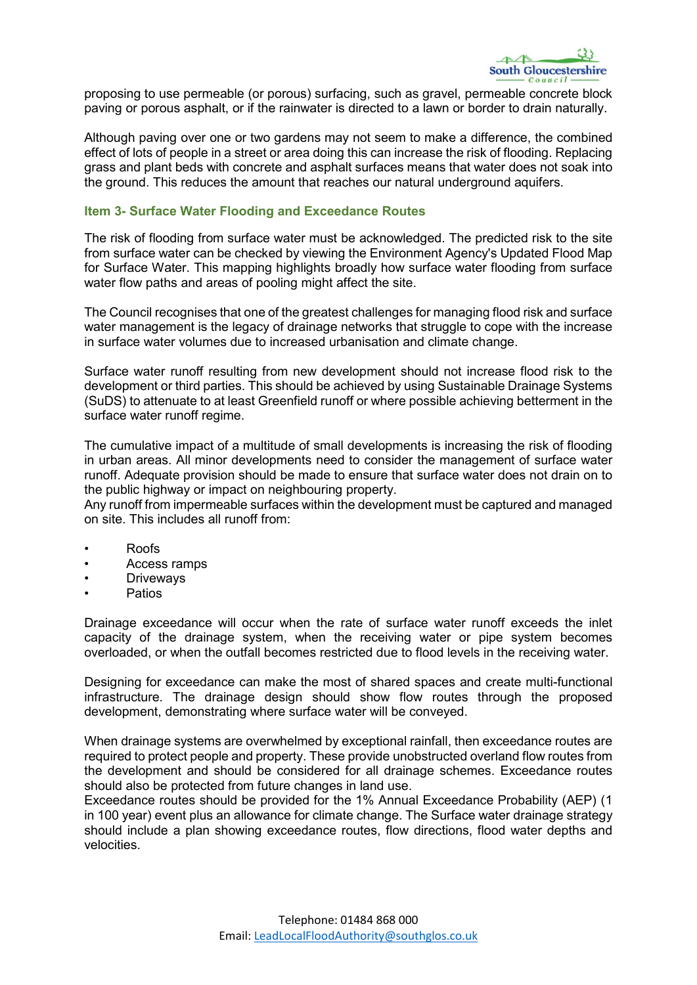

proposing to use permeable (or porous) surfacing, such as gravel, permeable concrete block paving or porous asphalt, or if the rainwater is directed to a lawn or border to drain naturally.

Although paving over one or two gardens may not seem to make a difference, the combined effect of lots of people in a street or area doing this can increase the risk of flooding. Replacing grass and plant beds with concrete and asphalt surfaces means that water does not soak into the ground. This reduces the amount that reaches our natural underground aquifers.

### Item 3- Surface Water Flooding and Exceedance Routes

The risk of flooding from surface water must be acknowledged. The predicted risk to the site from surface water can be checked by viewing the Environment Agency's Updated Flood Map for Surface Water. This mapping highlights broadly how surface water flooding from surface water flow paths and areas of pooling might affect the site.

The Council recognises that one of the greatest challenges for managing flood risk and surface water management is the legacy of drainage networks that struggle to cope with the increase in surface water volumes due to increased urbanisation and climate change.

Surface water runoff resulting from new development should not increase flood risk to the development or third parties. This should be achieved by using Sustainable Drainage Systems (SuDS) to attenuate to at least Greenfield runoff or where possible achieving betterment in the surface water runoff regime.

The cumulative impact of a multitude of small developments is increasing the risk of flooding in urban areas. All minor developments need to consider the management of surface water runoff. Adequate provision should be made to ensure that surface water does not drain on to the public highway or impact on neighbouring property.

Any runoff from impermeable surfaces within the development must be captured and managed on site. This includes all runoff from:

- Roofs
- Access ramps
- **Driveways**
- **Patios**

Drainage exceedance will occur when the rate of surface water runoff exceeds the inlet capacity of the drainage system, when the receiving water or pipe system becomes overloaded, or when the outfall becomes restricted due to flood levels in the receiving water.

Designing for exceedance can make the most of shared spaces and create multi-functional infrastructure. The drainage design should show flow routes through the proposed development, demonstrating where surface water will be conveyed.

When drainage systems are overwhelmed by exceptional rainfall, then exceedance routes are required to protect people and property. These provide unobstructed overland flow routes from the development and should be considered for all drainage schemes. Exceedance routes should also be protected from future changes in land use.

Exceedance routes should be provided for the 1% Annual Exceedance Probability (AEP) (1 in 100 year) event plus an allowance for climate change. The Surface water drainage strategy should include a plan showing exceedance routes, flow directions, flood water depths and velocities.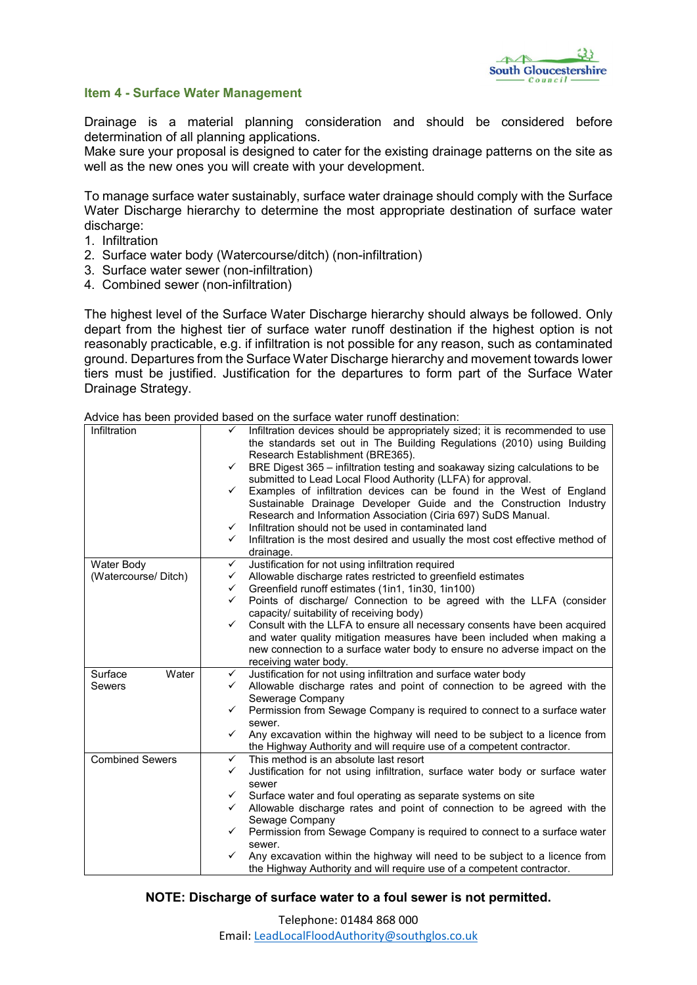

# Item 4 - Surface Water Management

Drainage is a material planning consideration and should be considered before determination of all planning applications.

Make sure your proposal is designed to cater for the existing drainage patterns on the site as well as the new ones you will create with your development.

To manage surface water sustainably, surface water drainage should comply with the Surface Water Discharge hierarchy to determine the most appropriate destination of surface water discharge:

- 1. Infiltration
- 2. Surface water body (Watercourse/ditch) (non-infiltration)
- 3. Surface water sewer (non-infiltration)
- 4. Combined sewer (non-infiltration)

The highest level of the Surface Water Discharge hierarchy should always be followed. Only depart from the highest tier of surface water runoff destination if the highest option is not reasonably practicable, e.g. if infiltration is not possible for any reason, such as contaminated ground. Departures from the Surface Water Discharge hierarchy and movement towards lower tiers must be justified. Justification for the departures to form part of the Surface Water Drainage Strategy.

Advice has been provided based on the surface water runoff destination:

| Infiltration           | Infiltration devices should be appropriately sized; it is recommended to use<br>✓                                                   |
|------------------------|-------------------------------------------------------------------------------------------------------------------------------------|
|                        | the standards set out in The Building Regulations (2010) using Building                                                             |
|                        | Research Establishment (BRE365).                                                                                                    |
|                        | ✓                                                                                                                                   |
|                        | BRE Digest 365 - infiltration testing and soakaway sizing calculations to be                                                        |
|                        | submitted to Lead Local Flood Authority (LLFA) for approval.                                                                        |
|                        | Examples of infiltration devices can be found in the West of England<br>✓                                                           |
|                        | Sustainable Drainage Developer Guide and the Construction Industry<br>Research and Information Association (Ciria 697) SuDS Manual. |
|                        | Infiltration should not be used in contaminated land<br>✓                                                                           |
|                        | Infiltration is the most desired and usually the most cost effective method of<br>✓                                                 |
|                        | drainage.                                                                                                                           |
| Water Body             | Justification for not using infiltration required<br>$\checkmark$                                                                   |
| (Watercourse/ Ditch)   | Allowable discharge rates restricted to greenfield estimates<br>✓                                                                   |
|                        | Greenfield runoff estimates (1in1, 1in30, 1in100)<br>✓                                                                              |
|                        | Points of discharge/ Connection to be agreed with the LLFA (consider<br>✓                                                           |
|                        | capacity/ suitability of receiving body)                                                                                            |
|                        | Consult with the LLFA to ensure all necessary consents have been acquired<br>✓                                                      |
|                        | and water quality mitigation measures have been included when making a                                                              |
|                        | new connection to a surface water body to ensure no adverse impact on the                                                           |
|                        | receiving water body.                                                                                                               |
| Water<br>Surface       | Justification for not using infiltration and surface water body<br>$\checkmark$                                                     |
| Sewers                 | Allowable discharge rates and point of connection to be agreed with the<br>✓                                                        |
|                        | Sewerage Company                                                                                                                    |
|                        | Permission from Sewage Company is required to connect to a surface water<br>✓                                                       |
|                        | sewer.                                                                                                                              |
|                        | Any excavation within the highway will need to be subject to a licence from<br>$\checkmark$                                         |
|                        | the Highway Authority and will require use of a competent contractor.                                                               |
| <b>Combined Sewers</b> | $\checkmark$<br>This method is an absolute last resort                                                                              |
|                        | Justification for not using infiltration, surface water body or surface water<br>✓                                                  |
|                        | sewer                                                                                                                               |
|                        | Surface water and foul operating as separate systems on site<br>$\checkmark$                                                        |
|                        | Allowable discharge rates and point of connection to be agreed with the<br>$\checkmark$                                             |
|                        | Sewage Company                                                                                                                      |
|                        | Permission from Sewage Company is required to connect to a surface water<br>✓                                                       |
|                        | sewer.                                                                                                                              |
|                        | Any excavation within the highway will need to be subject to a licence from<br>$\checkmark$                                         |
|                        | the Highway Authority and will require use of a competent contractor.                                                               |

### NOTE: Discharge of surface water to a foul sewer is not permitted.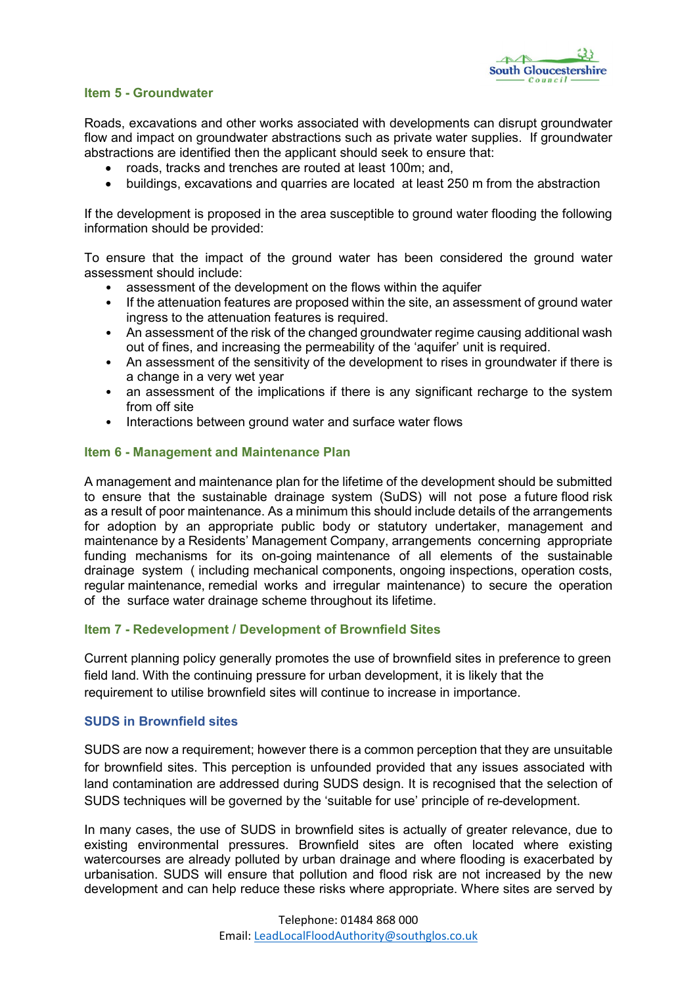

## Item 5 - Groundwater

Roads, excavations and other works associated with developments can disrupt groundwater flow and impact on groundwater abstractions such as private water supplies. If groundwater abstractions are identified then the applicant should seek to ensure that:

- roads, tracks and trenches are routed at least 100m; and,
- buildings, excavations and quarries are located at least 250 m from the abstraction

If the development is proposed in the area susceptible to ground water flooding the following information should be provided:

To ensure that the impact of the ground water has been considered the ground water assessment should include:

- assessment of the development on the flows within the aquifer
- If the attenuation features are proposed within the site, an assessment of ground water ingress to the attenuation features is required.
- An assessment of the risk of the changed groundwater regime causing additional wash out of fines, and increasing the permeability of the 'aquifer' unit is required.
- An assessment of the sensitivity of the development to rises in groundwater if there is a change in a very wet year
- an assessment of the implications if there is any significant recharge to the system from off site
- Interactions between ground water and surface water flows

## Item 6 - Management and Maintenance Plan

A management and maintenance plan for the lifetime of the development should be submitted to ensure that the sustainable drainage system (SuDS) will not pose a future flood risk as a result of poor maintenance. As a minimum this should include details of the arrangements for adoption by an appropriate public body or statutory undertaker, management and maintenance by a Residents' Management Company, arrangements concerning appropriate funding mechanisms for its on-going maintenance of all elements of the sustainable drainage system ( including mechanical components, ongoing inspections, operation costs, regular maintenance, remedial works and irregular maintenance) to secure the operation of the surface water drainage scheme throughout its lifetime.

### Item 7 - Redevelopment / Development of Brownfield Sites

Current planning policy generally promotes the use of brownfield sites in preference to green field land. With the continuing pressure for urban development, it is likely that the requirement to utilise brownfield sites will continue to increase in importance.

### SUDS in Brownfield sites

SUDS are now a requirement; however there is a common perception that they are unsuitable for brownfield sites. This perception is unfounded provided that any issues associated with land contamination are addressed during SUDS design. It is recognised that the selection of SUDS techniques will be governed by the 'suitable for use' principle of re-development.

In many cases, the use of SUDS in brownfield sites is actually of greater relevance, due to existing environmental pressures. Brownfield sites are often located where existing watercourses are already polluted by urban drainage and where flooding is exacerbated by urbanisation. SUDS will ensure that pollution and flood risk are not increased by the new development and can help reduce these risks where appropriate. Where sites are served by